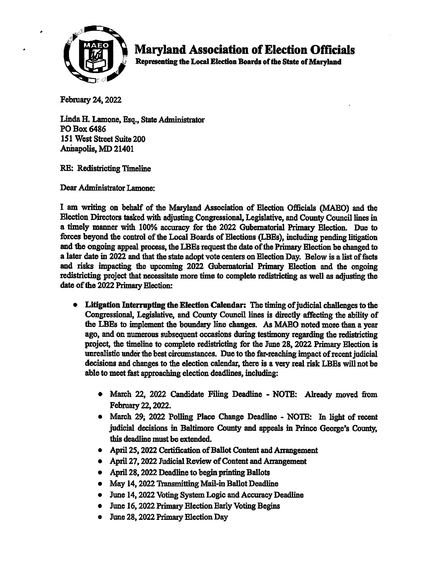

## Maryland Association of Election Officials

Representing the Local Election Boards of the State of Maryland

February 24, 2022

Linda H. Lamone, Esq., State Administrator PO Box 6486 151 West Street Suite 200 Annapolis, MD 21401

RE: Redistricting Timeline

Dear Administrator Lamone;

1 am writing on behalf of the Maryland Association of Election Officials (MAEO) and the Election Directors tasked with adjusting Congressional, Legislative, and County Council lines in a timely manner widi 100% accuracy for the 2022 Gubernatorial Primary Election. Due to forces beyond the control of the Local Boards of Elections (LBEs), including pending litigation and the ongoing appeal process, the LBEs request the date of the Primary Election be changed to a later date in 2022 and that the state adopt vote centers on Election Day. Below is a list of facts and risks impacting the upcoming 2022 Gubernatorial Primary Election and the ongoing redistricting project that necessitate more time to complete redistricting as well as adjusting the date of the 2022 Primary Election:

- Litigation Interrupting the Election Calendar: The timing of judicial challenges to the Congressional, Legislative, and County Council lines is directly affecting the ability of the LBEs to implement the boundary line changes. As MAEO noted more than a year ago, and on numerous subsequent occasions during testimony regarding the redistricting project, the timeline to complete redistricting for the June 28, 2022 Primary Election is unrealistic under the best circumstances. Due to the far-reaching impact of recent judicial decisions and changes to the election calendar, there is a very real risk LBEs will not be able to meet fast approaching election deadlines, including:
	- March 22, 2022 Candidate Filing Deadline NOTE: Already moved fiom February 22, 2022.
	- March 29; 2022 Polling Place Change Deadline NOTE: In light of recent judicial decisions in Baltimore County and appeals in Prince George's County, this deadline must be extended.
	- April 25, 2022 Certification of Ballot Content and Arrangement
	- April 27,2022 Judicial Review of Conteat and Arrangement
	- April 28, 2022 Deadline to begin printing Ballots
	- May 14, 2022 Transmitting Mail-in Ballot Deadline
	- June 14, 2022 Voting System Logic and Accuracy Deadline
	- June 16,2022 Primary Election Early Voting Begins
	- e June 28,2022 Primary Election Day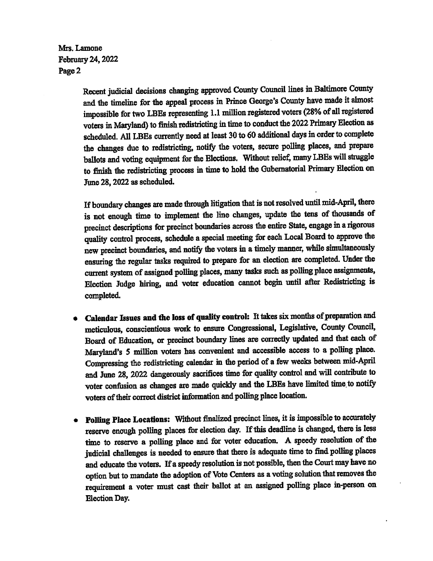Mrs. Lamone February24,2022 Page 2

> Recent judicial decisions changing approved County Council lines in Baltimore County and the timeline for the appeal process in Prince George's County have made it almost impossible for two LBEs representing 1.1 million registered voters (28% of all registered voters in Maryland) to finish redistricting in time to conduct the 2022 Primary Election as scheduled. All LBEs currently need at least 30 to 60 additional days in order to complete the changes due to redistricting, notify the voters, secure polling places, and prepare ballots and voting equipment for the Elections. Without relief, many LBEs will struggle to finish the redistricting process in time to hold the Gubernatorial Primary Election on Tune 28,2022 as scheduled.

> If boundary changes are made through litigation that is not resolved until mid-April, there is not enough time to implement the line changes, update the tens of thousands of precinct descriptions for precinct boundaries across the entire State, engage in a rigorous quality control process, schedule a special meeting for each Local Board to approve the new precinct boundaries, and notify the voters in a timely manner, while simultaneously ensuring the regular tasks required to prepare for an election are completed. Under the current system of assigned polling places, many tasks such as polling place assignments, Election Judge hiring, and voter education cannot begin until after Redistricting is completed.

- Calendar Issues and the loss of quality control: It takes six months of preparation and meticulous, conscientious work to ensure Congressional, Legislative, County Council, Board of Education, or precinct boundary lines are correctly updated and that each of Maryland's 5 million voters has convenient and accessible access to a polling place. Compressing the redistricting calendar in the period of a few weeks between mid-April and June 28, 2022 dangerously sacrifices time for quality control and will contribute to voter confusion as changes are made quickly and the LBEs have limited time to notify voters of their correct district information and polling place location.
- Foiling Place Locations: Without finalized precinct lines, it is impossible to accurately reserve enough polling places for election day. If this deadline is changed, there is less time to reserve a polling place and for voter education. A speedy resolution of the judicial challenges is needed to ensure that there is adequate time to find polling places and educate the voters. If a speefy resolution is not possible, then the Court may have no option but to mandate the adoption of Vote Centers as a voting solution that removes the requirement a voter must cast their ballot at an assigned polling place in-person on Election Day.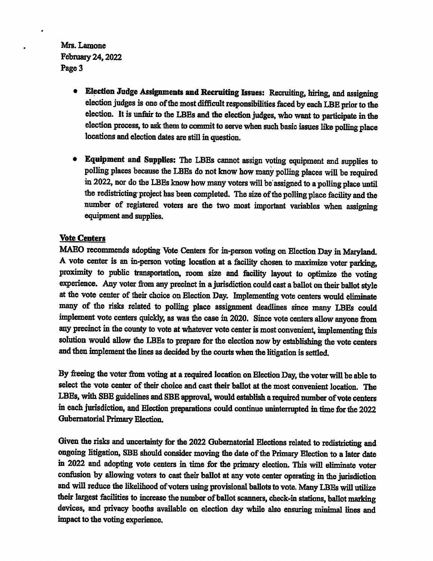Mrs. Lamone February 24,2022 Page 3

- Election Judge Assignments and Recruiting Issues: Recruiting, hiring, and assigning election judges is one of the most difficult responsibilities faced by each LBE prior to the election. It is unfair to the LBEs and the election judges, who want to participate in the election process, to ask them to commit to serve when such basic issues like polling place locations and election dates are still in question.
- Equipment and Supplies: The LBEs cannot assign voting equipment and supplies to polling places because the IBEs do not know how many polling places will be required in 2022, nor do the UBEsknowhowmany voters will be assigned to a polling place until the redistricting-project has been completed. The size of the polling place facility and the number of registered voters are the two most important variables when assigning equipment and supplies.

## Vote Centers

MAEO recommends adopting Vote Centers for in-person voting on Election Day in Maryland. A vote center is an in-person voting location at a facility chosen to maximize voter parking, proximity to public transportation, room size and facility layout to optimize the voting experience. Any voter from any precinct in a jurisdiction could cast a ballot on their ballot style at the vote center of their choice on Election Day. Implementing vote centers would eliminate many of the risks related to polling place assignment deadlines since many LBEs could implement vote centers quickly, as was the case in 2020. Since vote centers allow anyone from any precinct in the county to vote at whatever vote center is most convenient, implementing this solution would allow the LBEs to prepare for the election now by establishing the vote centers and then implement the lines as decided by the courts when the litigation is settled.

By freeing the voter from voting at a required location on Election Day, the voter will be able to select the vote center of their choice and cast their ballot at the most convenient location. The LBEs, with SBE guidelines and SBE approval, would establish a required number of vote centers in each jurisdiction, and Election preparations could continue uninterrupted in time for the 2022 Gubernatorial Primary Election.

Given the risks and uncertainty for the 2022 Gubernatorial Elections related to redistricting and ongoing litigation, SBE should consider moving the date of the Primary Election to a later date in 2022 and adopting vote centers in time for the primary election. This will eliminate voter confusion by allowing voters to cast their ballot at any vote center operating in the jurisdiction and will reduce the likelihood of voters using provisional ballots to vote. Many LBEs will utilize their largest facilities to increase the number of ballot scanners, check-in stations, ballot marking devices, and privacy booths available on election day while also ensuring minimal lines and impact to the voting experience.